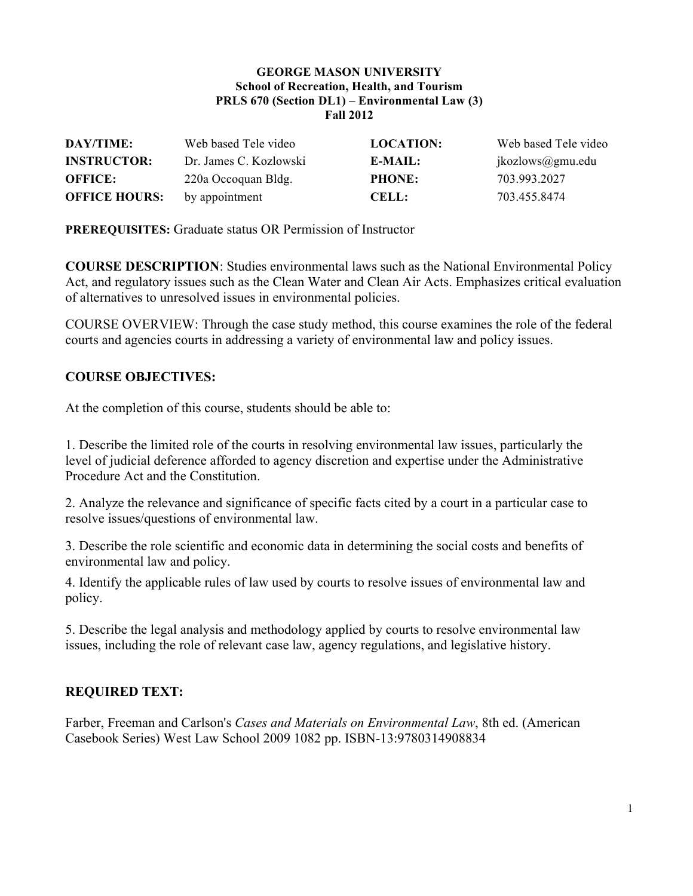#### **GEORGE MASON UNIVERSITY School of Recreation, Health, and Tourism PRLS 670 (Section DL1) – Environmental Law (3) Fall 2012**

| DAY/TIME:            | Web based Tele video   | <b>LOCATION:</b> | Web based Tele video |
|----------------------|------------------------|------------------|----------------------|
| <b>INSTRUCTOR:</b>   | Dr. James C. Kozlowski | E-MAIL:          | jkozlows@gmu.edu     |
| <b>OFFICE:</b>       | 220a Occoquan Bldg.    | <b>PHONE:</b>    | 703.993.2027         |
| <b>OFFICE HOURS:</b> | by appointment         | <b>CELL:</b>     | 703.455.8474         |

**PREREQUISITES:** Graduate status OR Permission of Instructor

**COURSE DESCRIPTION**: Studies environmental laws such as the National Environmental Policy Act, and regulatory issues such as the Clean Water and Clean Air Acts. Emphasizes critical evaluation of alternatives to unresolved issues in environmental policies.

COURSE OVERVIEW: Through the case study method, this course examines the role of the federal courts and agencies courts in addressing a variety of environmental law and policy issues.

### **COURSE OBJECTIVES:**

At the completion of this course, students should be able to:

1. Describe the limited role of the courts in resolving environmental law issues, particularly the level of judicial deference afforded to agency discretion and expertise under the Administrative Procedure Act and the Constitution.

2. Analyze the relevance and significance of specific facts cited by a court in a particular case to resolve issues/questions of environmental law.

3. Describe the role scientific and economic data in determining the social costs and benefits of environmental law and policy.

4. Identify the applicable rules of law used by courts to resolve issues of environmental law and policy.

5. Describe the legal analysis and methodology applied by courts to resolve environmental law issues, including the role of relevant case law, agency regulations, and legislative history.

### **REQUIRED TEXT:**

Farber, Freeman and Carlson's *Cases and Materials on Environmental Law*, 8th ed. (American Casebook Series) West Law School 2009 1082 pp. ISBN-13:9780314908834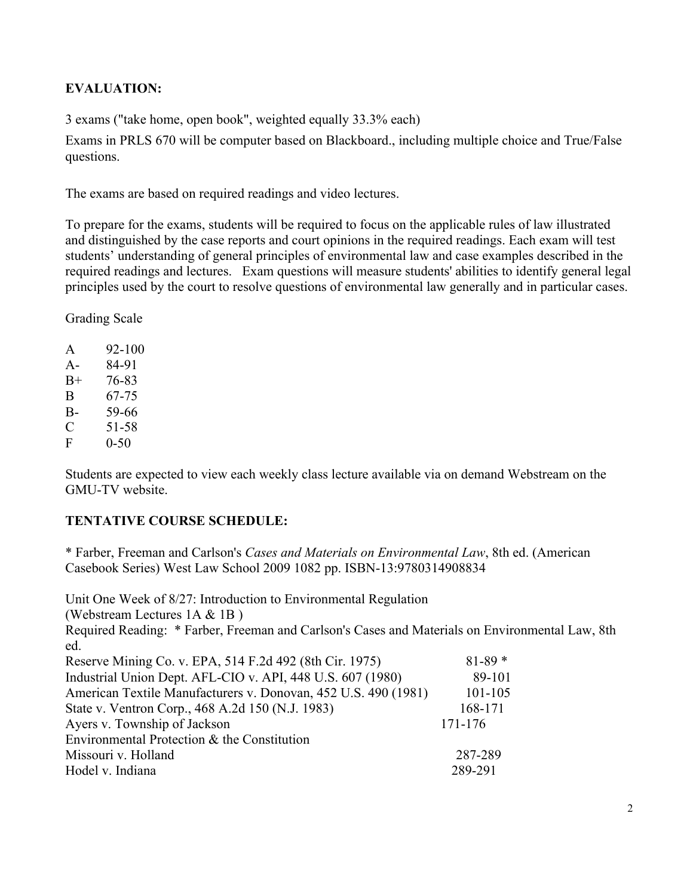## **EVALUATION:**

3 exams ("take home, open book", weighted equally 33.3% each)

Exams in PRLS 670 will be computer based on Blackboard., including multiple choice and True/False questions.

The exams are based on required readings and video lectures.

To prepare for the exams, students will be required to focus on the applicable rules of law illustrated and distinguished by the case reports and court opinions in the required readings. Each exam will test students' understanding of general principles of environmental law and case examples described in the required readings and lectures. Exam questions will measure students' abilities to identify general legal principles used by the court to resolve questions of environmental law generally and in particular cases.

Grading Scale

| A     | 92-100   |
|-------|----------|
| $A -$ | 84-91    |
| $B+$  | 76-83    |
| B     | 67-75    |
| $B-$  | 59-66    |
| C     | 51-58    |
| F     | $0 - 50$ |

Students are expected to view each weekly class lecture available via on demand Webstream on the GMU-TV website.

# **TENTATIVE COURSE SCHEDULE:**

\* Farber, Freeman and Carlson's *Cases and Materials on Environmental Law*, 8th ed. (American Casebook Series) West Law School 2009 1082 pp. ISBN-13:9780314908834

Unit One Week of 8/27: Introduction to Environmental Regulation (Webstream Lectures 1A & 1B ) Required Reading: \* Farber, Freeman and Carlson's Cases and Materials on Environmental Law, 8th ed. Reserve Mining Co. v. EPA, 514 F.2d 492 (8th Cir. 1975) 81-89 \* Industrial Union Dept. AFL-CIO v. API, 448 U.S. 607 (1980) 89-101 American Textile Manufacturers v. Donovan, 452 U.S. 490 (1981) 101-105 State v. Ventron Corp., 468 A.2d 150 (N.J. 1983) 168-171 Ayers v. Township of Jackson 171-176 Environmental Protection & the Constitution Missouri v. Holland 287-289 Hodel v. Indiana 289-291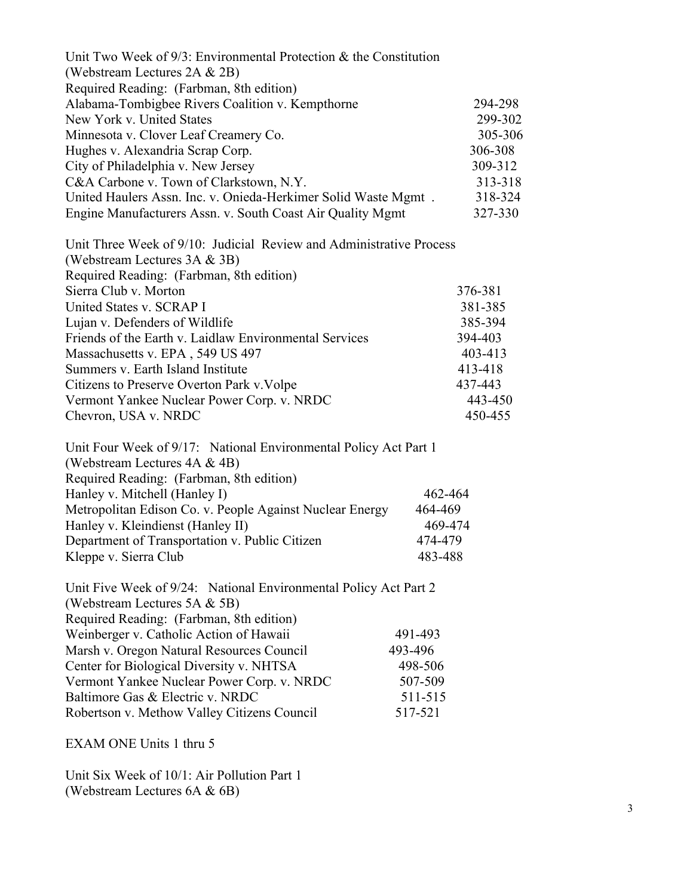| Unit Two Week of $9/3$ : Environmental Protection & the Constitution<br>(Webstream Lectures 2A & 2B)                                            |         |
|-------------------------------------------------------------------------------------------------------------------------------------------------|---------|
| Required Reading: (Farbman, 8th edition)                                                                                                        |         |
| Alabama-Tombigbee Rivers Coalition v. Kempthorne                                                                                                | 294-298 |
| New York v. United States                                                                                                                       | 299-302 |
| Minnesota v. Clover Leaf Creamery Co.                                                                                                           | 305-306 |
| Hughes v. Alexandria Scrap Corp.                                                                                                                | 306-308 |
| City of Philadelphia v. New Jersey                                                                                                              | 309-312 |
| C&A Carbone v. Town of Clarkstown, N.Y.                                                                                                         | 313-318 |
| United Haulers Assn. Inc. v. Onieda-Herkimer Solid Waste Mgmt.                                                                                  | 318-324 |
| Engine Manufacturers Assn. v. South Coast Air Quality Mgmt                                                                                      | 327-330 |
| Unit Three Week of 9/10: Judicial Review and Administrative Process<br>(Webstream Lectures 3A & 3B)<br>Required Reading: (Farbman, 8th edition) |         |
| Sierra Club v. Morton                                                                                                                           | 376-381 |
| United States v. SCRAP I                                                                                                                        | 381-385 |
| Lujan v. Defenders of Wildlife                                                                                                                  | 385-394 |
| Friends of the Earth v. Laidlaw Environmental Services                                                                                          | 394-403 |
| Massachusetts v. EPA, 549 US 497                                                                                                                | 403-413 |
| Summers v. Earth Island Institute                                                                                                               | 413-418 |
| Citizens to Preserve Overton Park v. Volpe                                                                                                      | 437-443 |
| Vermont Yankee Nuclear Power Corp. v. NRDC                                                                                                      | 443-450 |
| Chevron, USA v. NRDC                                                                                                                            | 450-455 |
| Unit Four Week of 9/17: National Environmental Policy Act Part 1<br>(Webstream Lectures 4A & 4B)                                                |         |

| Required Reading: (Farbman, 8th edition)                 |         |
|----------------------------------------------------------|---------|
| Hanley v. Mitchell (Hanley I)                            | 462-464 |
| Metropolitan Edison Co. v. People Against Nuclear Energy | 464-469 |
| Hanley v. Kleindienst (Hanley II)                        | 469-474 |
| Department of Transportation v. Public Citizen           | 474-479 |
| Kleppe v. Sierra Club                                    | 483-488 |

| Unit Five Week of 9/24: National Environmental Policy Act Part 2 |         |
|------------------------------------------------------------------|---------|
| (Webstream Lectures 5A $&$ 5B)                                   |         |
| Required Reading: (Farbman, 8th edition)                         |         |
| Weinberger v. Catholic Action of Hawaii                          | 491-493 |
| Marsh v. Oregon Natural Resources Council                        | 493-496 |
| Center for Biological Diversity v. NHTSA                         | 498-506 |
| Vermont Yankee Nuclear Power Corp. v. NRDC                       | 507-509 |
| Baltimore Gas & Electric v. NRDC                                 | 511-515 |
| Robertson v. Methow Valley Citizens Council                      | 517-521 |

EXAM ONE Units 1 thru 5

Unit Six Week of 10/1: Air Pollution Part 1 (Webstream Lectures 6A & 6B)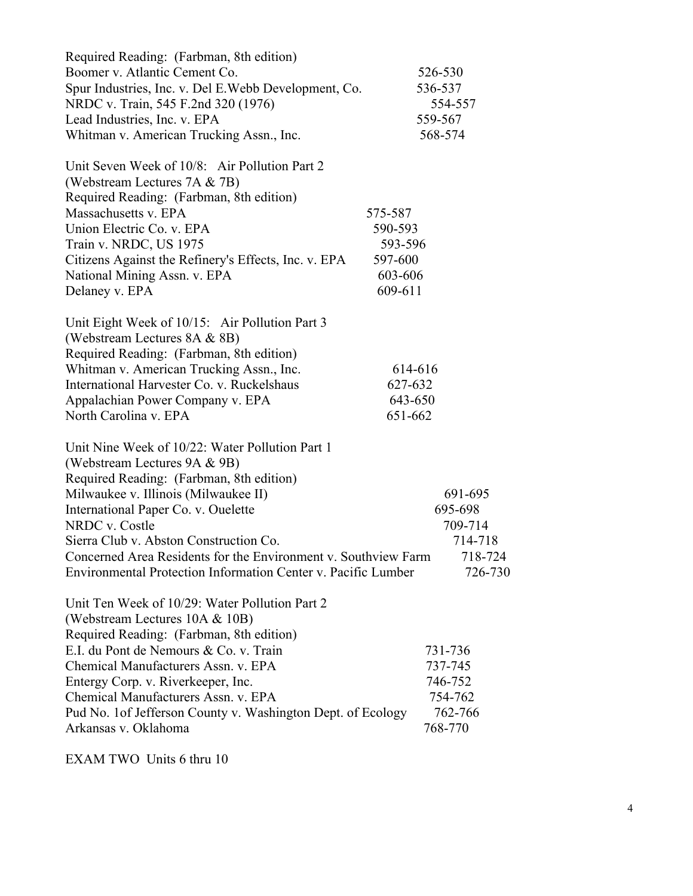| Required Reading: (Farbman, 8th edition)<br>Boomer v. Atlantic Cement Co.<br>Spur Industries, Inc. v. Del E. Webb Development, Co. |         | 526-530<br>536-537 |
|------------------------------------------------------------------------------------------------------------------------------------|---------|--------------------|
| NRDC v. Train, 545 F.2nd 320 (1976)                                                                                                |         | 554-557            |
| Lead Industries, Inc. v. EPA                                                                                                       |         | 559-567            |
| Whitman v. American Trucking Assn., Inc.                                                                                           |         | 568-574            |
| Unit Seven Week of 10/8: Air Pollution Part 2                                                                                      |         |                    |
| (Webstream Lectures 7A & 7B)                                                                                                       |         |                    |
| Required Reading: (Farbman, 8th edition)                                                                                           |         |                    |
| Massachusetts v. EPA                                                                                                               | 575-587 |                    |
| Union Electric Co. v. EPA                                                                                                          | 590-593 |                    |
| Train v. NRDC, US 1975                                                                                                             | 593-596 |                    |
| Citizens Against the Refinery's Effects, Inc. v. EPA                                                                               | 597-600 |                    |
| National Mining Assn. v. EPA                                                                                                       | 603-606 |                    |
| Delaney v. EPA                                                                                                                     | 609-611 |                    |
| Unit Eight Week of 10/15: Air Pollution Part 3                                                                                     |         |                    |
| (Webstream Lectures 8A & 8B)                                                                                                       |         |                    |
| Required Reading: (Farbman, 8th edition)                                                                                           |         |                    |
| Whitman v. American Trucking Assn., Inc.                                                                                           | 614-616 |                    |
| International Harvester Co. v. Ruckelshaus                                                                                         | 627-632 |                    |
| Appalachian Power Company v. EPA                                                                                                   | 643-650 |                    |
| North Carolina v. EPA                                                                                                              | 651-662 |                    |
| Unit Nine Week of 10/22: Water Pollution Part 1                                                                                    |         |                    |
| (Webstream Lectures 9A & 9B)                                                                                                       |         |                    |
| Required Reading: (Farbman, 8th edition)                                                                                           |         |                    |
| Milwaukee v. Illinois (Milwaukee II)                                                                                               |         | 691-695            |
| International Paper Co. v. Ouelette                                                                                                |         | 695-698            |
| NRDC v. Costle                                                                                                                     |         | 709-714            |
| Sierra Club v. Abston Construction Co.                                                                                             |         | 714-718            |
| Concerned Area Residents for the Environment v. Southview Farm                                                                     |         | 718-724            |
| Environmental Protection Information Center v. Pacific Lumber                                                                      |         | 726-730            |
| Unit Ten Week of 10/29: Water Pollution Part 2                                                                                     |         |                    |
| (Webstream Lectures 10A & 10B)                                                                                                     |         |                    |
| Required Reading: (Farbman, 8th edition)                                                                                           |         |                    |
| E.I. du Pont de Nemours & Co. v. Train                                                                                             |         | 731-736            |
| Chemical Manufacturers Assn. v. EPA                                                                                                |         | 737-745            |
| Entergy Corp. v. Riverkeeper, Inc.                                                                                                 |         | 746-752            |
| Chemical Manufacturers Assn. v. EPA                                                                                                |         | 754-762            |
| Pud No. 1 of Jefferson County v. Washington Dept. of Ecology                                                                       |         | 762-766            |
| Arkansas v. Oklahoma                                                                                                               |         | 768-770            |

EXAM TWO Units 6 thru 10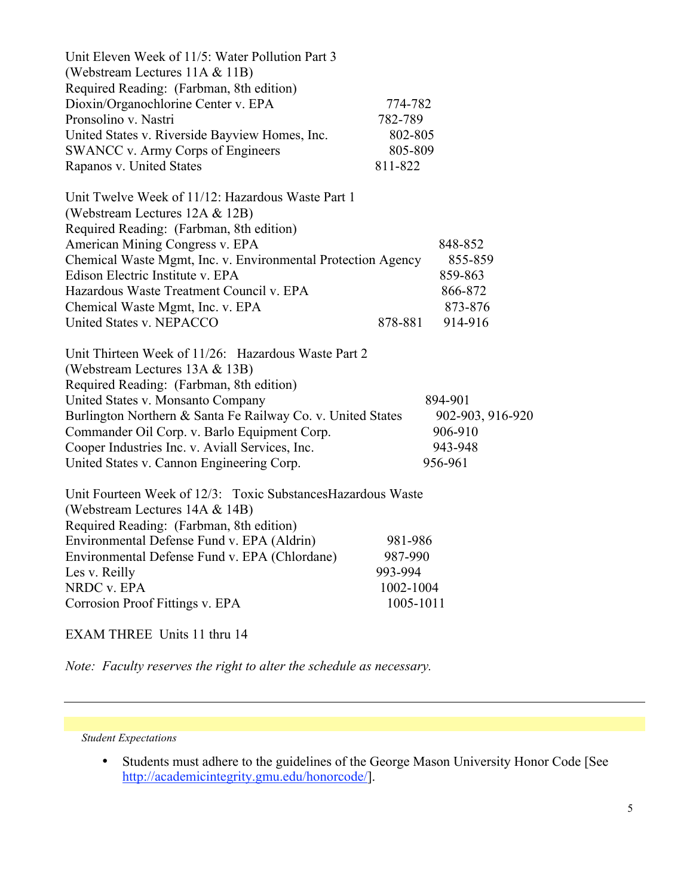| Unit Eleven Week of 11/5: Water Pollution Part 3                                                                                |           |                  |
|---------------------------------------------------------------------------------------------------------------------------------|-----------|------------------|
| (Webstream Lectures 11A & 11B)                                                                                                  |           |                  |
| Required Reading: (Farbman, 8th edition)                                                                                        |           |                  |
| Dioxin/Organochlorine Center v. EPA                                                                                             | 774-782   |                  |
| Pronsolino v. Nastri                                                                                                            | 782-789   |                  |
| United States v. Riverside Bayview Homes, Inc.                                                                                  | 802-805   |                  |
| SWANCC v. Army Corps of Engineers                                                                                               | 805-809   |                  |
| Rapanos v. United States                                                                                                        | 811-822   |                  |
| Unit Twelve Week of 11/12: Hazardous Waste Part 1<br>(Webstream Lectures 12A & 12B)<br>Required Reading: (Farbman, 8th edition) |           |                  |
| American Mining Congress v. EPA                                                                                                 |           | 848-852          |
| Chemical Waste Mgmt, Inc. v. Environmental Protection Agency                                                                    |           | 855-859          |
| Edison Electric Institute v. EPA                                                                                                |           | 859-863          |
| Hazardous Waste Treatment Council v. EPA                                                                                        |           | 866-872          |
| Chemical Waste Mgmt, Inc. v. EPA                                                                                                |           | 873-876          |
| United States v. NEPACCO                                                                                                        | 878-881   | 914-916          |
| Unit Thirteen Week of 11/26: Hazardous Waste Part 2                                                                             |           |                  |
| (Webstream Lectures 13A & 13B)                                                                                                  |           |                  |
| Required Reading: (Farbman, 8th edition)                                                                                        |           |                  |
| United States v. Monsanto Company                                                                                               |           | 894-901          |
| Burlington Northern & Santa Fe Railway Co. v. United States                                                                     |           | 902-903, 916-920 |
| Commander Oil Corp. v. Barlo Equipment Corp.                                                                                    |           | 906-910          |
| Cooper Industries Inc. v. Aviall Services, Inc.                                                                                 |           | 943-948          |
| United States v. Cannon Engineering Corp.                                                                                       |           | 956-961          |
|                                                                                                                                 |           |                  |
| Unit Fourteen Week of 12/3: Toxic Substances Hazardous Waste                                                                    |           |                  |
| (Webstream Lectures 14A & 14B)                                                                                                  |           |                  |
| Required Reading: (Farbman, 8th edition)                                                                                        |           |                  |
| Environmental Defense Fund v. EPA (Aldrin)                                                                                      | 981-986   |                  |
| Environmental Defense Fund v. EPA (Chlordane)                                                                                   | 987-990   |                  |
| Les v. Reilly                                                                                                                   | 993-994   |                  |
| NRDC v. EPA                                                                                                                     | 1002-1004 |                  |
| Corrosion Proof Fittings v. EPA                                                                                                 | 1005-1011 |                  |

### EXAM THREE Units 11 thru 14

*Note: Faculty reserves the right to alter the schedule as necessary.*

*Student Expectations*

• Students must adhere to the guidelines of the George Mason University Honor Code [See http://academicintegrity.gmu.edu/honorcode/].